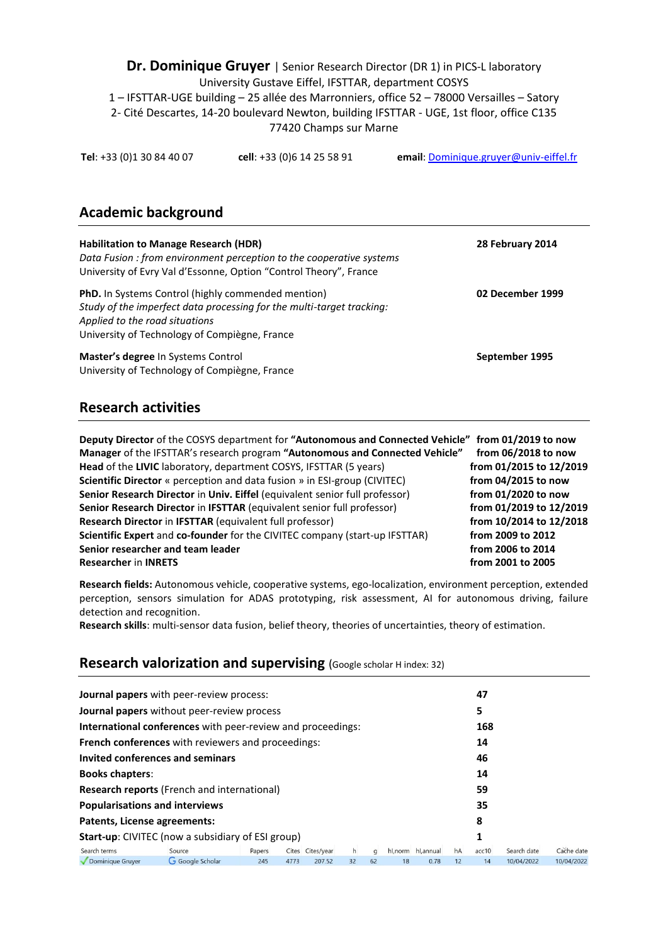**Dr. Dominique Gruyer** | Senior Research Director (DR 1) in PICS-L laboratory University Gustave Eiffel, IFSTTAR, department COSYS 1 – IFSTTAR-UGE building – 25 allée des Marronniers, office 52 – 78000 Versailles – Satory 2- Cité Descartes, 14-20 boulevard Newton, building IFSTTAR - UGE, 1st floor, office C135 77420 Champs sur Marne

| Tel: +33 (0)1 30 84 40 07 | cell: +33 (0)6 14 25 58 91 | email: Dominique.gruyer@univ-eiffel.fr |
|---------------------------|----------------------------|----------------------------------------|
|---------------------------|----------------------------|----------------------------------------|

# **Academic background**

| <b>Habilitation to Manage Research (HDR)</b><br>Data Fusion : from environment perception to the cooperative systems<br>University of Evry Val d'Essonne, Option "Control Theory", France                      | 28 February 2014 |
|----------------------------------------------------------------------------------------------------------------------------------------------------------------------------------------------------------------|------------------|
| PhD. In Systems Control (highly commended mention)<br>Study of the imperfect data processing for the multi-target tracking:<br>Applied to the road situations<br>University of Technology of Compiègne, France | 02 December 1999 |
| Master's degree In Systems Control<br>University of Technology of Compiègne, France                                                                                                                            | September 1995   |

## **Research activities**

| Deputy Director of the COSYS department for "Autonomous and Connected Vehicle" from 01/2019 to now<br>Manager of the IFSTTAR's research program "Autonomous and Connected Vehicle" | from 06/2018 to now     |
|------------------------------------------------------------------------------------------------------------------------------------------------------------------------------------|-------------------------|
| Head of the LIVIC laboratory, department COSYS, IFSTTAR (5 years)                                                                                                                  | from 01/2015 to 12/2019 |
| Scientific Director « perception and data fusion » in ESI-group (CIVITEC)                                                                                                          | from 04/2015 to now     |
| Senior Research Director in Univ. Eiffel (equivalent senior full professor)                                                                                                        | from 01/2020 to now     |
| Senior Research Director in IFSTTAR (equivalent senior full professor)                                                                                                             | from 01/2019 to 12/2019 |
| Research Director in IFSTTAR (equivalent full professor)                                                                                                                           | from 10/2014 to 12/2018 |
| Scientific Expert and co-founder for the CIVITEC company (start-up IFSTTAR)                                                                                                        | from 2009 to 2012       |
| Senior researcher and team leader                                                                                                                                                  | from 2006 to 2014       |
| <b>Researcher in INRETS</b>                                                                                                                                                        | from 2001 to 2005       |

**Research fields:** Autonomous vehicle, cooperative systems, ego-localization, environment perception, extended perception, sensors simulation for ADAS prototyping, risk assessment, AI for autonomous driving, failure detection and recognition.

**Research skills**: multi-sensor data fusion, belief theory, theories of uncertainties, theory of estimation.

# **Research valorization and supervising** (Google scholar H index: 32)

| <b>Journal papers</b> with peer-review process: |                                                                    |        |      |                  |    |    |    | 47                |    |       |             |            |
|-------------------------------------------------|--------------------------------------------------------------------|--------|------|------------------|----|----|----|-------------------|----|-------|-------------|------------|
|                                                 | <b>Journal papers</b> without peer-review process                  |        |      |                  |    |    |    |                   |    | 5     |             |            |
|                                                 | <b>International conferences</b> with peer-review and proceedings: |        |      |                  |    |    |    |                   |    | 168   |             |            |
|                                                 | French conferences with reviewers and proceedings:                 |        |      |                  |    |    |    |                   |    | 14    |             |            |
|                                                 | Invited conferences and seminars                                   |        |      |                  |    |    |    |                   |    | 46    |             |            |
| <b>Books chapters:</b>                          |                                                                    |        |      |                  |    |    |    |                   |    | 14    |             |            |
|                                                 | <b>Research reports (French and international)</b>                 |        |      |                  |    |    |    |                   |    | 59    |             |            |
| <b>Popularisations and interviews</b>           |                                                                    |        |      |                  |    |    |    |                   |    | 35    |             |            |
| Patents, License agreements:                    |                                                                    |        |      |                  |    |    |    |                   |    | 8     |             |            |
|                                                 | <b>Start-up:</b> CIVITEC (now a subsidiary of ESI group)           |        |      |                  |    |    |    |                   |    | 1     |             |            |
| Search terms                                    | Source                                                             | Papers |      | Cites Cites/year | h  | q  |    | hl,norm hl,annual | hA | acc10 | Search date | Cache date |
| Dominique Gruyer                                | G Google Scholar                                                   | 245    | 4773 | 207.52           | 32 | 62 | 18 | 0.78              | 12 | 14    | 10/04/2022  | 10/04/2022 |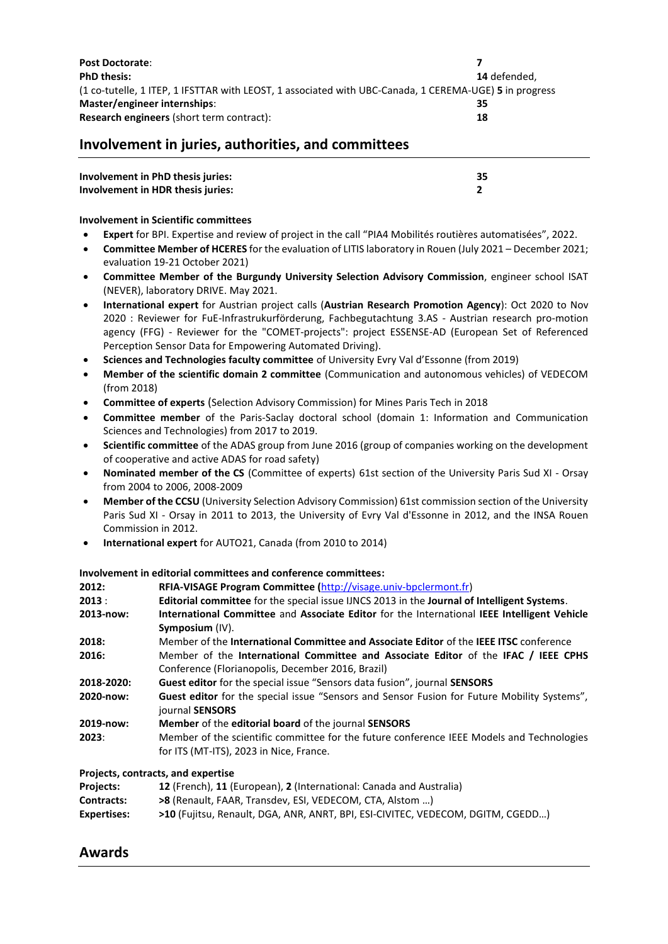| <b>Post Doctorate:</b>                                                                                 |                     |
|--------------------------------------------------------------------------------------------------------|---------------------|
| <b>PhD thesis:</b>                                                                                     | <b>14</b> defended. |
| (1 co-tutelle, 1 ITEP, 1 IFSTTAR with LEOST, 1 associated with UBC-Canada, 1 CEREMA-UGE) 5 in progress |                     |
| Master/engineer internships:                                                                           | 35                  |
| <b>Research engineers (short term contract):</b>                                                       | 18                  |

# **Involvement in juries, authorities, and committees**

| Involvement in PhD thesis juries: | 35 |
|-----------------------------------|----|
| Involvement in HDR thesis juries: |    |

### **Involvement in Scientific committees**

- **Expert** for BPI. Expertise and review of project in the call "PIA4 Mobilités routières automatisées", 2022.
- **Committee Member of HCERES** for the evaluation of LITIS laboratory in Rouen (July 2021 December 2021; evaluation 19-21 October 2021)
- **Committee Member of the Burgundy University Selection Advisory Commission**, engineer school ISAT (NEVER), laboratory DRIVE. May 2021.
- **International expert** for Austrian project calls (**Austrian Research Promotion Agency**): Oct 2020 to Nov 2020 : Reviewer for FuE-Infrastrukurförderung, Fachbegutachtung 3.AS - Austrian research pro-motion agency (FFG) - Reviewer for the "COMET-projects": project ESSENSE-AD (European Set of Referenced Perception Sensor Data for Empowering Automated Driving).
- **Sciences and Technologies faculty committee** of University Evry Val d'Essonne (from 2019)
- **Member of the scientific domain 2 committee** (Communication and autonomous vehicles) of VEDECOM (from 2018)
- **Committee of experts** (Selection Advisory Commission) for Mines Paris Tech in 2018
- **Committee member** of the Paris-Saclay doctoral school (domain 1: Information and Communication Sciences and Technologies) from 2017 to 2019.
- **Scientific committee** of the ADAS group from June 2016 (group of companies working on the development of cooperative and active ADAS for road safety)
- **Nominated member of the CS** (Committee of experts) 61st section of the University Paris Sud XI Orsay from 2004 to 2006, 2008-2009
- **Member of the CCSU** (University Selection Advisory Commission) 61st commission section of the University Paris Sud XI - Orsay in 2011 to 2013, the University of Evry Val d'Essonne in 2012, and the INSA Rouen Commission in 2012.
- **International expert** for AUTO21, Canada (from 2010 to 2014)

#### **Involvement in editorial committees and conference committees:**

| 2012:      | RFIA-VISAGE Program Committee (http://visage.univ-bpclermont.fr)                                                                        |
|------------|-----------------------------------------------------------------------------------------------------------------------------------------|
| 2013:      | Editorial committee for the special issue IJNCS 2013 in the Journal of Intelligent Systems.                                             |
| 2013-now:  | International Committee and Associate Editor for the International IEEE Intelligent Vehicle                                             |
|            | Symposium (IV).                                                                                                                         |
| 2018:      | Member of the International Committee and Associate Editor of the IEEE ITSC conference                                                  |
| 2016:      | Member of the International Committee and Associate Editor of the IFAC / IEEE CPHS<br>Conference (Florianopolis, December 2016, Brazil) |
| 2018-2020: | <b>Guest editor</b> for the special issue "Sensors data fusion", journal <b>SENSORS</b>                                                 |
| 2020-now:  | Guest editor for the special issue "Sensors and Sensor Fusion for Future Mobility Systems",<br>journal SENSORS                          |
| 2019-now:  | Member of the editorial board of the journal SENSORS                                                                                    |
| 2023:      | Member of the scientific committee for the future conference IEEE Models and Technologies<br>for ITS (MT-ITS), 2023 in Nice, France.    |

#### **Projects, contracts, and expertise**

| <b>Projects:</b>  | <b>12</b> (French), <b>11</b> (European), <b>2</b> (International: Canada and Australia) |
|-------------------|------------------------------------------------------------------------------------------|
| <b>Contracts:</b> | >8 (Renault, FAAR, Transdev, ESI, VEDECOM, CTA, Alstom )                                 |
| Expertises:       | >10 (Fujitsu, Renault, DGA, ANR, ANRT, BPI, ESI-CIVITEC, VEDECOM, DGITM, CGEDD)          |

## **Awards**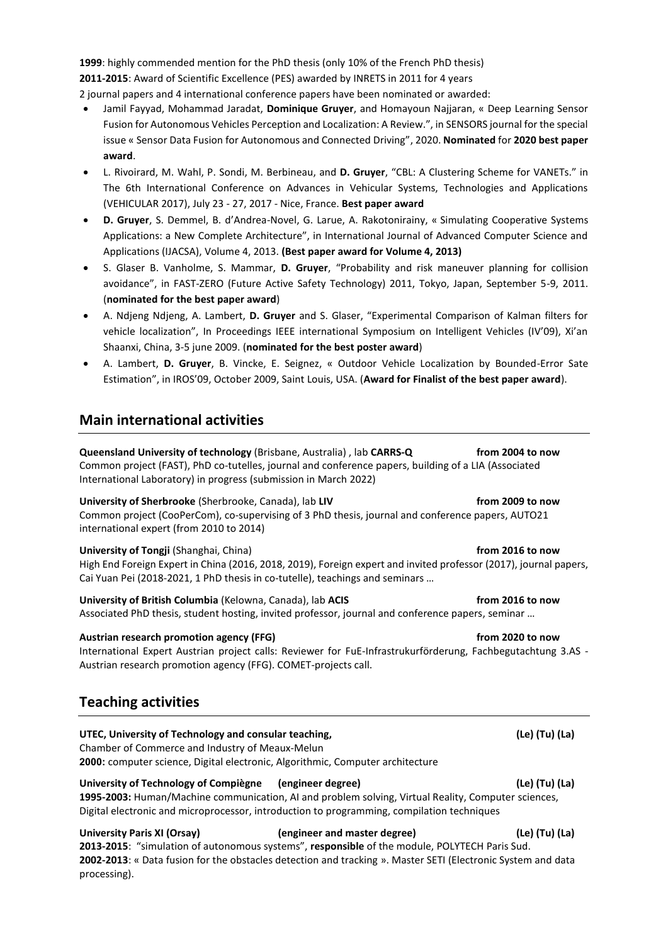**1999**: highly commended mention for the PhD thesis (only 10% of the French PhD thesis)

**2011-2015**: Award of Scientific Excellence (PES) awarded by INRETS in 2011 for 4 years

- 2 journal papers and 4 international conference papers have been nominated or awarded:
- Jamil Fayyad, Mohammad Jaradat, **Dominique Gruyer**, and Homayoun Najjaran, « Deep Learning Sensor Fusion for Autonomous Vehicles Perception and Localization: A Review.", in SENSORS journal for the special issue « Sensor Data Fusion for Autonomous and Connected Driving", 2020. **Nominated** for **2020 best paper award**.
- L. Rivoirard, M. Wahl, P. Sondi, M. Berbineau, and **D. Gruyer**, "CBL: A Clustering Scheme for VANETs." in The 6th International Conference on Advances in Vehicular Systems, Technologies and Applications (VEHICULAR 2017), July 23 - 27, 2017 - Nice, France. **Best paper award**
- **D. Gruyer**, S. Demmel, B. d'Andrea-Novel, G. Larue, A. Rakotonirainy, « Simulating Cooperative Systems Applications: a New Complete Architecture", in International Journal of Advanced Computer Science and Applications (IJACSA), Volume 4, 2013. **(Best paper award for Volume 4, 2013)**
- S. Glaser B. Vanholme, S. Mammar, **D. Gruyer**, "Probability and risk maneuver planning for collision avoidance", in FAST-ZERO (Future Active Safety Technology) 2011, Tokyo, Japan, September 5-9, 2011. (**nominated for the best paper award**)
- A. Ndjeng Ndjeng, A. Lambert, **D. Gruyer** and S. Glaser, "Experimental Comparison of Kalman filters for vehicle localization", In Proceedings IEEE international Symposium on Intelligent Vehicles (IV'09), Xi'an Shaanxi, China, 3-5 june 2009. (**nominated for the best poster award**)
- A. Lambert, **D. Gruyer**, B. Vincke, E. Seignez, « Outdoor Vehicle Localization by Bounded-Error Sate Estimation", in IROS'09, October 2009, Saint Louis, USA. (**Award for Finalist of the best paper award**).

# **Main international activities**

**Queensland University of technology** (Brisbane, Australia) , lab **CARRS-Q from 2004 to now** Common project (FAST), PhD co-tutelles, journal and conference papers, building of a LIA (Associated International Laboratory) in progress (submission in March 2022)

**University of Sherbrooke** (Sherbrooke, Canada), lab **LIV from 2009 to now** Common project (CooPerCom), co-supervising of 3 PhD thesis, journal and conference papers, AUTO21 international expert (from 2010 to 2014)

### **University of Tongji** (Shanghai, China) **from 2016 to now**

High End Foreign Expert in China (2016, 2018, 2019), Foreign expert and invited professor (2017), journal papers, Cai Yuan Pei (2018-2021, 1 PhD thesis in co-tutelle), teachings and seminars …

**University of British Columbia** (Kelowna, Canada), lab **ACIS from 2016 to now** Associated PhD thesis, student hosting, invited professor, journal and conference papers, seminar …

### **Austrian research promotion agency (FFG) from 2020 to now**

International Expert Austrian project calls: Reviewer for FuE-Infrastrukurförderung, Fachbegutachtung 3.AS - Austrian research promotion agency (FFG). COMET-projects call.

# **Teaching activities**

### **UTEC, University of Technology and consular teaching, (Le) (Tu) (La)**

Chamber of Commerce and Industry of Meaux-Melun **2000:** computer science, Digital electronic, Algorithmic, Computer architecture

### **University of Technology of Compiègne (engineer degree) (Le) (Tu) (La)**

**1995-2003:** Human/Machine communication, AI and problem solving, Virtual Reality, Computer sciences, Digital electronic and microprocessor, introduction to programming, compilation techniques

**University Paris XI (Orsay) (engineer and master degree) (Le) (Tu) (La)**

**2013-2015**: "simulation of autonomous systems", **responsible** of the module, POLYTECH Paris Sud. **2002-2013**: « Data fusion for the obstacles detection and tracking ». Master SETI (Electronic System and data processing).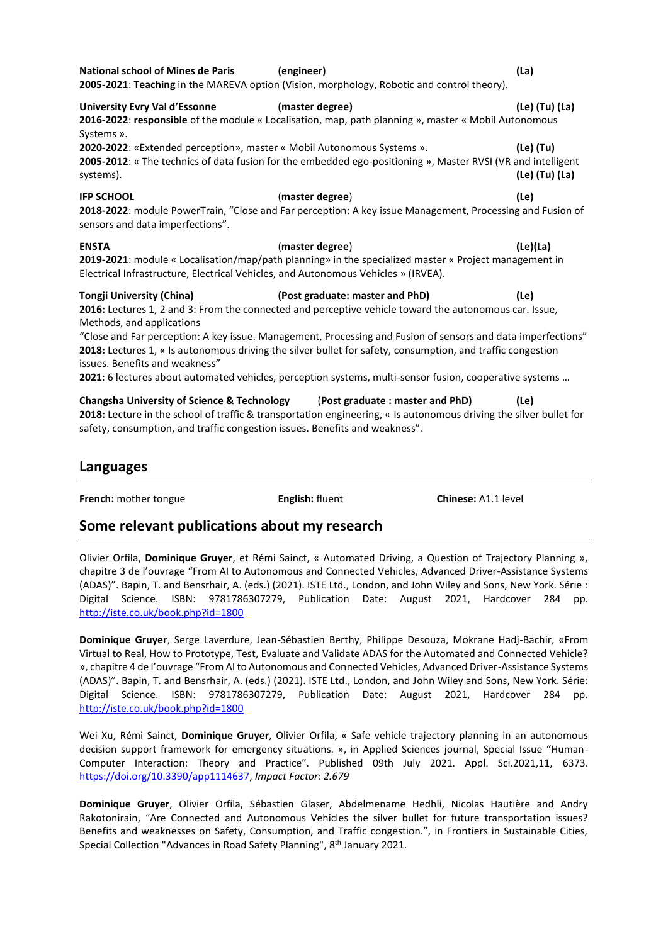|                                                                                                                                       | 2005-2021: Teaching in the MAREVA option (Vision, morphology, Robotic and control theory).                                                                                                                                                                                                                                                                                                                                                                                          |                             |
|---------------------------------------------------------------------------------------------------------------------------------------|-------------------------------------------------------------------------------------------------------------------------------------------------------------------------------------------------------------------------------------------------------------------------------------------------------------------------------------------------------------------------------------------------------------------------------------------------------------------------------------|-----------------------------|
| <b>University Evry Val d'Essonne</b><br>Systems ».                                                                                    | (master degree)<br>2016-2022: responsible of the module « Localisation, map, path planning », master « Mobil Autonomous                                                                                                                                                                                                                                                                                                                                                             | (Le) (Tu) (La)              |
| 2020-2022: «Extended perception», master « Mobil Autonomous Systems ».<br>systems).                                                   | 2005-2012: « The technics of data fusion for the embedded ego-positioning », Master RVSI (VR and intelligent                                                                                                                                                                                                                                                                                                                                                                        | (Le) (Tu)<br>(Le) (Tu) (La) |
| <b>IFP SCHOOL</b><br>sensors and data imperfections".                                                                                 | (master degree)<br>2018-2022: module PowerTrain, "Close and Far perception: A key issue Management, Processing and Fusion of                                                                                                                                                                                                                                                                                                                                                        | (Le)                        |
| <b>ENSTA</b><br>Electrical Infrastructure, Electrical Vehicles, and Autonomous Vehicles » (IRVEA).                                    | (master degree)<br>2019-2021: module « Localisation/map/path planning» in the specialized master « Project management in                                                                                                                                                                                                                                                                                                                                                            | (Le)(La)                    |
| <b>Tongji University (China)</b><br>Methods, and applications<br>issues. Benefits and weakness"                                       | (Post graduate: master and PhD)<br>2016: Lectures 1, 2 and 3: From the connected and perceptive vehicle toward the autonomous car. Issue,<br>"Close and Far perception: A key issue. Management, Processing and Fusion of sensors and data imperfections"<br>2018: Lectures 1, « Is autonomous driving the silver bullet for safety, consumption, and traffic congestion<br>2021: 6 lectures about automated vehicles, perception systems, multi-sensor fusion, cooperative systems | (Le)                        |
| <b>Changsha University of Science &amp; Technology</b><br>safety, consumption, and traffic congestion issues. Benefits and weakness". | (Post graduate: master and PhD)<br>2018: Lecture in the school of traffic & transportation engineering, « Is autonomous driving the silver bullet for                                                                                                                                                                                                                                                                                                                               | (Le)                        |
| Languages                                                                                                                             |                                                                                                                                                                                                                                                                                                                                                                                                                                                                                     |                             |

**National school of Mines de Paris (engineer) (La)**

**French:** mother tongue **English:** fluent **Chinese:** A1.1 level

## **Some relevant publications about my research**

Olivier Orfila, **Dominique Gruyer**, et Rémi Sainct, « Automated Driving, a Question of Trajectory Planning », chapitre 3 de l'ouvrage "From AI to Autonomous and Connected Vehicles, Advanced Driver-Assistance Systems (ADAS)". Bapin, T. and Bensrhair, A. (eds.) (2021). ISTE Ltd., London, and John Wiley and Sons, New York. Série : Digital Science. ISBN: 9781786307279, Publication Date: August 2021, Hardcover 284 pp. <http://iste.co.uk/book.php?id=1800>

**Dominique Gruyer**, Serge Laverdure, Jean-Sébastien Berthy, Philippe Desouza, Mokrane Hadj-Bachir, «From Virtual to Real, How to Prototype, Test, Evaluate and Validate ADAS for the Automated and Connected Vehicle? », chapitre 4 de l'ouvrage "From AI to Autonomous and Connected Vehicles, Advanced Driver-Assistance Systems (ADAS)". Bapin, T. and Bensrhair, A. (eds.) (2021). ISTE Ltd., London, and John Wiley and Sons, New York. Série: Digital Science. ISBN: 9781786307279, Publication Date: August 2021, Hardcover 284 pp. <http://iste.co.uk/book.php?id=1800>

Wei Xu, Rémi Sainct, **Dominique Gruyer**, Olivier Orfila, « Safe vehicle trajectory planning in an autonomous decision support framework for emergency situations. », in Applied Sciences journal, Special Issue "Human-Computer Interaction: Theory and Practice". Published 09th July 2021. Appl. Sci.2021,11, 6373. [https://doi.org/10.3390/app1114637,](https://doi.org/10.3390/app1114637) *Impact Factor: 2.679*

**Dominique Gruyer**, Olivier Orfila, Sébastien Glaser, Abdelmename Hedhli, Nicolas Hautière and Andry Rakotonirain, "Are Connected and Autonomous Vehicles the silver bullet for future transportation issues? Benefits and weaknesses on Safety, Consumption, and Traffic congestion.", in Frontiers in Sustainable Cities, Special Collection "Advances in Road Safety Planning", 8<sup>th</sup> January 2021.